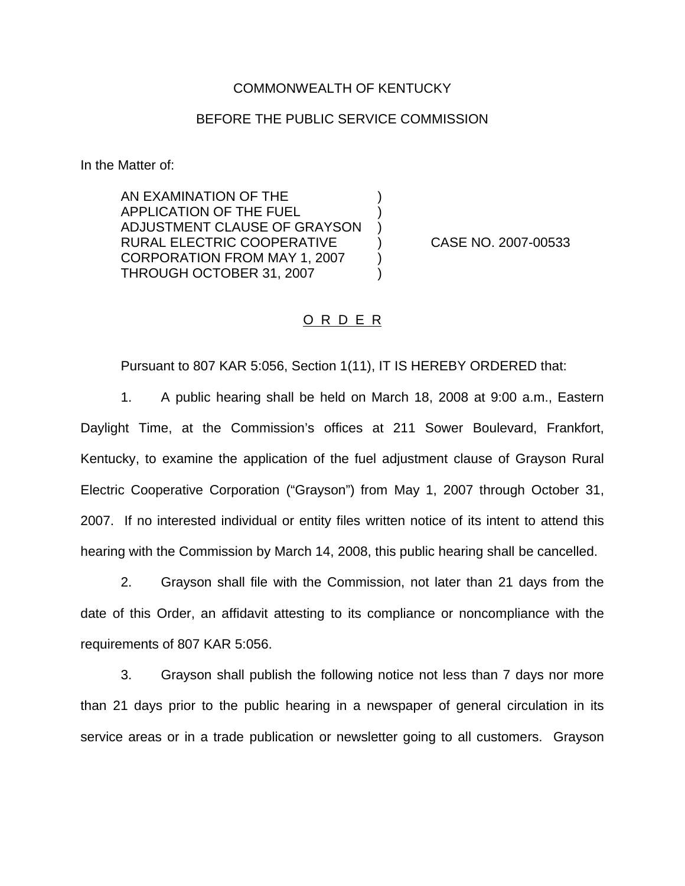## COMMONWEALTH OF KENTUCKY

## BEFORE THE PUBLIC SERVICE COMMISSION

) ) )

) )

In the Matter of:

AN EXAMINATION OF THE APPLICATION OF THE FUEL ADJUSTMENT CLAUSE OF GRAYSON RURAL ELECTRIC COOPERATIVE CORPORATION FROM MAY 1, 2007 THROUGH OCTOBER 31, 2007

) CASE NO. 2007-00533

## O R D E R

Pursuant to 807 KAR 5:056, Section 1(11), IT IS HEREBY ORDERED that:

1. A public hearing shall be held on March 18, 2008 at 9:00 a.m., Eastern Daylight Time, at the Commission's offices at 211 Sower Boulevard, Frankfort, Kentucky, to examine the application of the fuel adjustment clause of Grayson Rural Electric Cooperative Corporation ("Grayson") from May 1, 2007 through October 31, 2007. If no interested individual or entity files written notice of its intent to attend this hearing with the Commission by March 14, 2008, this public hearing shall be cancelled.

2. Grayson shall file with the Commission, not later than 21 days from the date of this Order, an affidavit attesting to its compliance or noncompliance with the requirements of 807 KAR 5:056.

3. Grayson shall publish the following notice not less than 7 days nor more than 21 days prior to the public hearing in a newspaper of general circulation in its service areas or in a trade publication or newsletter going to all customers. Grayson